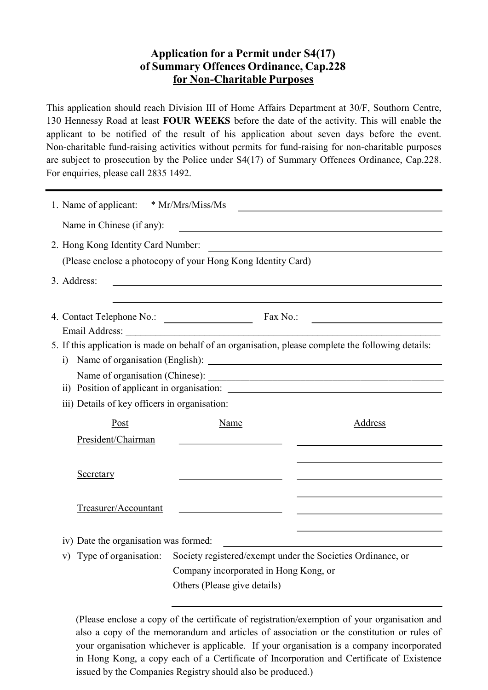# Application for a Permit under S4(17) of Summary Offences Ordinance, Cap.228 for Non-Charitable Purposes

This application should reach Division III of Home Affairs Department at 30/F, Southorn Centre, 130 Hennessy Road at least FOUR WEEKS before the date of the activity. This will enable the applicant to be notified of the result of his application about seven days before the event. Non-charitable fund-raising activities without permits for fund-raising for non-charitable purposes are subject to prosecution by the Police under S4(17) of Summary Offences Ordinance, Cap.228. For enquiries, please call 2835 1492.

| 1. Name of applicant: * Mr/Mrs/Miss/Ms                       |                                       |                                                                                                                                                                                                                               |
|--------------------------------------------------------------|---------------------------------------|-------------------------------------------------------------------------------------------------------------------------------------------------------------------------------------------------------------------------------|
| Name in Chinese (if any):                                    |                                       |                                                                                                                                                                                                                               |
| 2. Hong Kong Identity Card Number:                           |                                       | the control of the control of the control of the control of the control of the control of the control of the control of the control of the control of the control of the control of the control of the control of the control |
| (Please enclose a photocopy of your Hong Kong Identity Card) |                                       |                                                                                                                                                                                                                               |
| 3. Address:                                                  |                                       |                                                                                                                                                                                                                               |
|                                                              |                                       |                                                                                                                                                                                                                               |
|                                                              |                                       |                                                                                                                                                                                                                               |
|                                                              |                                       |                                                                                                                                                                                                                               |
|                                                              |                                       | 5. If this application is made on behalf of an organisation, please complete the following details:                                                                                                                           |
|                                                              |                                       |                                                                                                                                                                                                                               |
|                                                              |                                       | ii) Position of applicant in organisation:                                                                                                                                                                                    |
| iii) Details of key officers in organisation:                |                                       |                                                                                                                                                                                                                               |
| Post                                                         | Name                                  | Address                                                                                                                                                                                                                       |
| President/Chairman                                           |                                       |                                                                                                                                                                                                                               |
|                                                              |                                       |                                                                                                                                                                                                                               |
| Secretary                                                    |                                       |                                                                                                                                                                                                                               |
|                                                              |                                       |                                                                                                                                                                                                                               |
| Treasurer/Accountant                                         |                                       |                                                                                                                                                                                                                               |
|                                                              |                                       |                                                                                                                                                                                                                               |
| iv) Date the organisation was formed:                        |                                       |                                                                                                                                                                                                                               |
| Type of organisation:<br>V)                                  |                                       | Society registered/exempt under the Societies Ordinance, or                                                                                                                                                                   |
|                                                              | Company incorporated in Hong Kong, or |                                                                                                                                                                                                                               |
|                                                              | Others (Please give details)          |                                                                                                                                                                                                                               |

(Please enclose a copy of the certificate of registration/exemption of your organisation and also a copy of the memorandum and articles of association or the constitution or rules of your organisation whichever is applicable. If your organisation is a company incorporated in Hong Kong, a copy each of a Certificate of Incorporation and Certificate of Existence issued by the Companies Registry should also be produced.)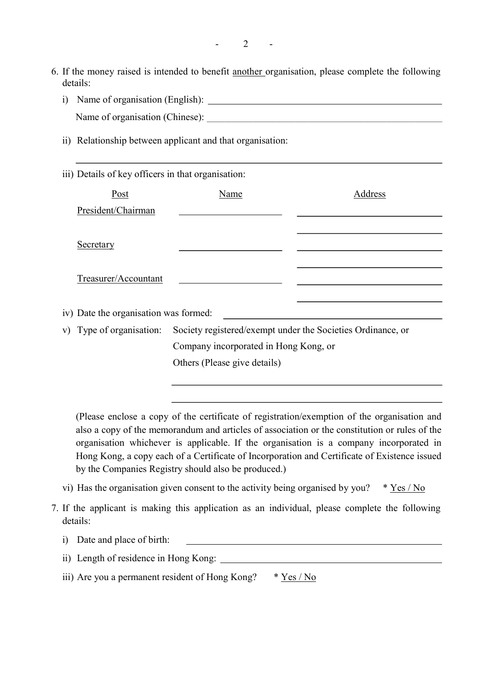- 6. If the money raised is intended to benefit another organisation, please complete the following details:
	- i) Name of organisation (English): Name of organisation (Chinese):
	- ii) Relationship between applicant and that organisation:

### iii) Details of key officers in that organisation:

| Post                                  | Name                                                                                 | Address |
|---------------------------------------|--------------------------------------------------------------------------------------|---------|
| President/Chairman                    |                                                                                      |         |
|                                       |                                                                                      |         |
| Secretary                             |                                                                                      |         |
|                                       |                                                                                      |         |
| Treasurer/Accountant                  |                                                                                      |         |
|                                       |                                                                                      |         |
| iv) Date the organisation was formed: |                                                                                      |         |
|                                       | v) Type of organisation: Society registered/exempt under the Societies Ordinance, or |         |
|                                       | Company incorporated in Hong Kong, or                                                |         |
|                                       | Others (Please give details)                                                         |         |
|                                       |                                                                                      |         |

(Please enclose a copy of the certificate of registration/exemption of the organisation and also a copy of the memorandum and articles of association or the constitution or rules of the organisation whichever is applicable. If the organisation is a company incorporated in Hong Kong, a copy each of a Certificate of Incorporation and Certificate of Existence issued by the Companies Registry should also be produced.)

- vi) Has the organisation given consent to the activity being organised by you?  $* \underline{Yes} / No$
- 7. If the applicant is making this application as an individual, please complete the following details:
	- i) Date and place of birth:
	- ii) Length of residence in Hong Kong:
	- iii) Are you a permanent resident of Hong Kong?  $* \underline{Yes / No}$

 $\overline{2}$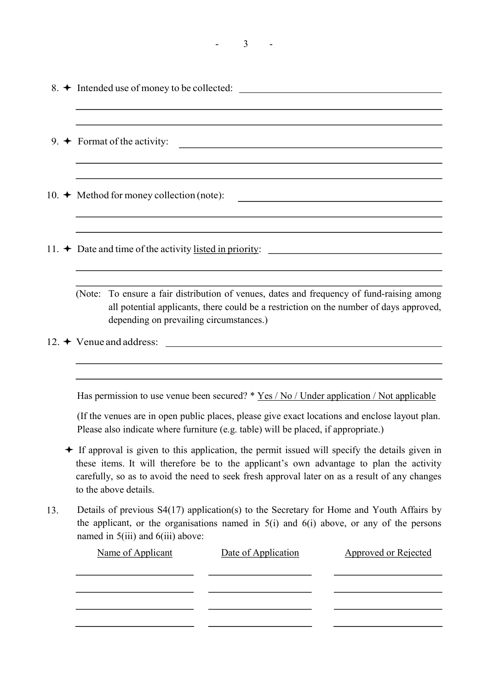| - |
|---|
|---|

|     | $8.$ $\rightarrow$ Intended use of money to be collected: $\sqrt{\phantom{a}}$                                                                                                                                                                                                                                                                                                                                                                                                                                                                                                                                                                                                                                                                                                                       |
|-----|------------------------------------------------------------------------------------------------------------------------------------------------------------------------------------------------------------------------------------------------------------------------------------------------------------------------------------------------------------------------------------------------------------------------------------------------------------------------------------------------------------------------------------------------------------------------------------------------------------------------------------------------------------------------------------------------------------------------------------------------------------------------------------------------------|
|     | 9. $\rightarrow$ Format of the activity:                                                                                                                                                                                                                                                                                                                                                                                                                                                                                                                                                                                                                                                                                                                                                             |
|     | 10. $\rightarrow$ Method for money collection (note):<br><u> 1980 - Jan Samuel Barbara, margaret eta idazlea (h. 1980).</u>                                                                                                                                                                                                                                                                                                                                                                                                                                                                                                                                                                                                                                                                          |
|     |                                                                                                                                                                                                                                                                                                                                                                                                                                                                                                                                                                                                                                                                                                                                                                                                      |
|     | (Note: To ensure a fair distribution of venues, dates and frequency of fund-raising among<br>all potential applicants, there could be a restriction on the number of days approved,<br>depending on prevailing circumstances.)                                                                                                                                                                                                                                                                                                                                                                                                                                                                                                                                                                       |
| 13. | Has permission to use venue been secured? * Yes / No / Under application / Not applicable<br>(If the venues are in open public places, please give exact locations and enclose layout plan.<br>Please also indicate where furniture (e.g. table) will be placed, if appropriate.)<br>+ If approval is given to this application, the permit issued will specify the details given in<br>these items. It will therefore be to the applicant's own advantage to plan the activity<br>carefully, so as to avoid the need to seek fresh approval later on as a result of any changes<br>to the above details.<br>Details of previous S4(17) application(s) to the Secretary for Home and Youth Affairs by<br>the applicant, or the organisations named in $5(i)$ and $6(i)$ above, or any of the persons |
|     | named in 5(iii) and 6(iii) above:<br>Name of Applicant<br>Date of Application<br><b>Approved or Rejected</b>                                                                                                                                                                                                                                                                                                                                                                                                                                                                                                                                                                                                                                                                                         |

 $\overline{\phantom{0}}$ 

- -

L.

a.

 $\overline{\phantom{a}}$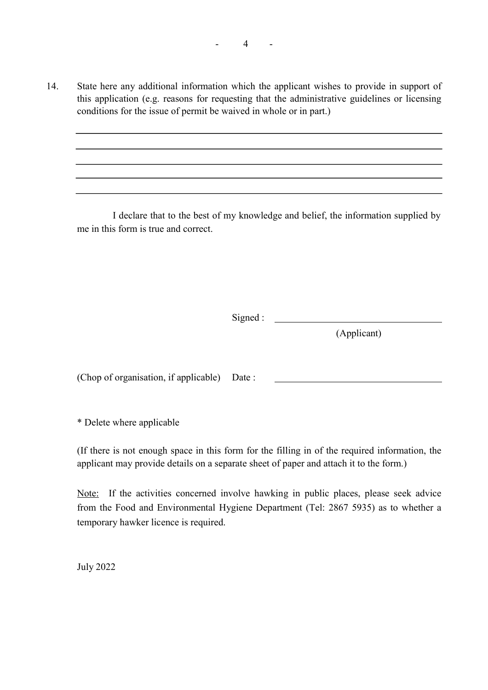14. State here any additional information which the applicant wishes to provide in support of this application (e.g. reasons for requesting that the administrative guidelines or licensing conditions for the issue of permit be waived in whole or in part.)

I declare that to the best of my knowledge and belief, the information supplied by me in this form is true and correct.

Signed :

(Applicant)

(Chop of organisation, if applicable) Date :

\* Delete where applicable

(If there is not enough space in this form for the filling in of the required information, the applicant may provide details on a separate sheet of paper and attach it to the form.)

Note: If the activities concerned involve hawking in public places, please seek advice from the Food and Environmental Hygiene Department (Tel: 2867 5935) as to whether a temporary hawker licence is required.

July 2022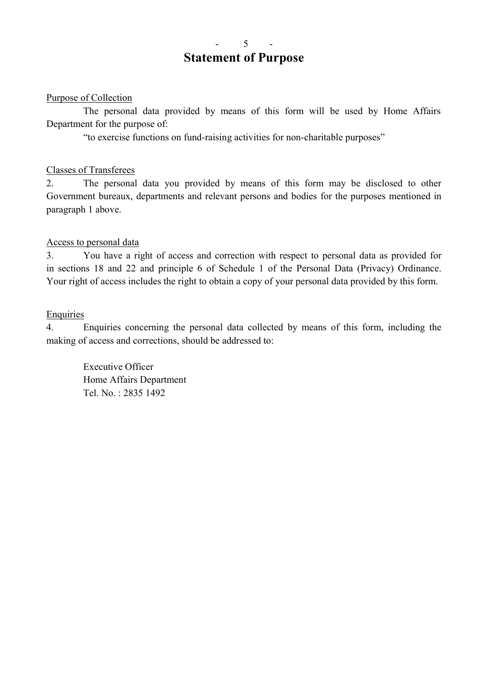## 5 Statement of Purpose

### Purpose of Collection

The personal data provided by means of this form will be used by Home Affairs Department for the purpose of:

"to exercise functions on fund-raising activities for non-charitable purposes"

### Classes of Transferees

2. The personal data you provided by means of this form may be disclosed to other Government bureaux, departments and relevant persons and bodies for the purposes mentioned in paragraph 1 above.

### Access to personal data

3. You have a right of access and correction with respect to personal data as provided for in sections 18 and 22 and principle 6 of Schedule 1 of the Personal Data (Privacy) Ordinance. Your right of access includes the right to obtain a copy of your personal data provided by this form.

### Enquiries

4. Enquiries concerning the personal data collected by means of this form, including the making of access and corrections, should be addressed to:

Executive Officer Home Affairs Department Tel. No. : 2835 1492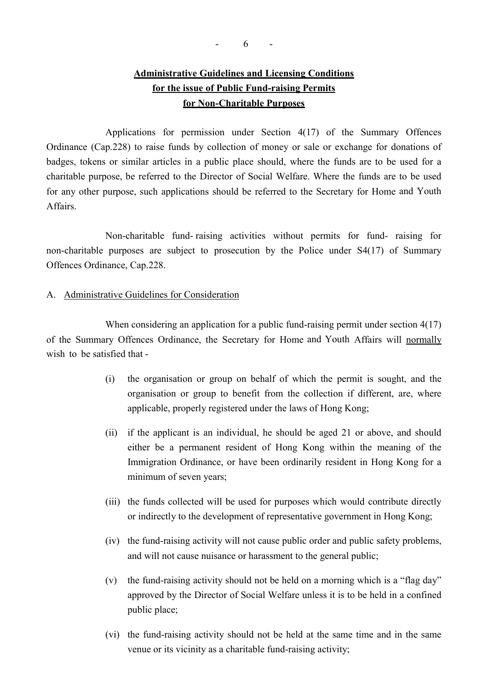# Administrative Guidelines and Licensing Conditions for the issue of Public Fund-raising Permits for Non-Charitable Purposes

Applications for permission under Section 4(17) of the Summary Offences Ordinance (Cap.228) to raise funds by collection of money or sale or exchange for donations of badges, tokens or similar articles in a public place should, where the funds are to be used for a charitable purpose, be referred to the Director of Social Welfare. Where the funds are to be used for any other purpose, such applications should be referred to the Secretary for Home and Youth Affairs.

Non-charitable fund- raising activities without permits for fund- raising for non-charitable purposes are subject to prosecution by the Police under S4(17) of Summary Offences Ordinance, Cap.228.

#### A. Administrative Guidelines for Consideration

When considering an application for a public fund-raising permit under section 4(17) of the Summary Offences Ordinance, the Secretary for Home and Youth Affairs will normally wish to be satisfied that -

- (i) the organisation or group on behalf of which the permit is sought, and the organisation or group to benefit from the collection if different, are, where applicable, properly registered under the laws of Hong Kong;
- (ii) if the applicant is an individual, he should be aged 21 or above, and should either be a permanent resident of Hong Kong within the meaning of the Immigration Ordinance, or have been ordinarily resident in Hong Kong for a minimum of seven years;
- (iii) the funds collected will be used for purposes which would contribute directly or indirectly to the development of representative government in Hong Kong;
- (iv) the fund-raising activity will not cause public order and public safety problems, and will not cause nuisance or harassment to the general public;
- (v) the fund-raising activity should not be held on a morning which is a "flag day" approved by the Director of Social Welfare unless it is to be held in a confined public place;
- (vi) the fund-raising activity should not be held at the same time and in the same venue or its vicinity as a charitable fund-raising activity;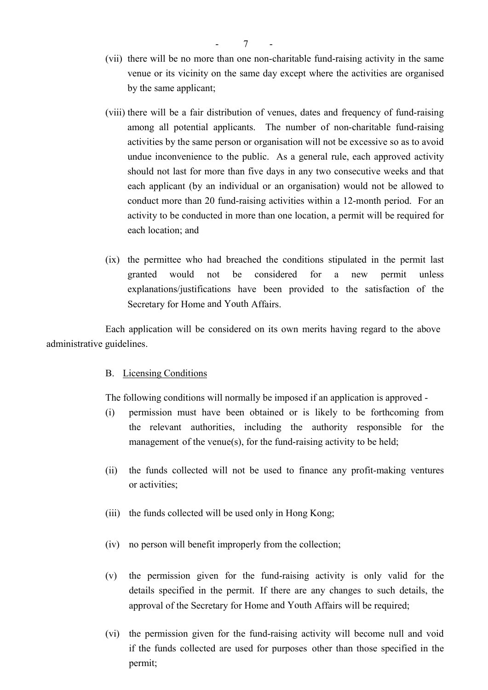- (vii) there will be no more than one non-charitable fund-raising activity in the same venue or its vicinity on the same day except where the activities are organised by the same applicant;
- (viii) there will be a fair distribution of venues, dates and frequency of fund-raising among all potential applicants. The number of non-charitable fund-raising activities by the same person or organisation will not be excessive so as to avoid undue inconvenience to the public. As a general rule, each approved activity should not last for more than five days in any two consecutive weeks and that each applicant (by an individual or an organisation) would not be allowed to conduct more than 20 fund-raising activities within a 12-month period. For an activity to be conducted in more than one location, a permit will be required for each location; and
- (ix) the permittee who had breached the conditions stipulated in the permit last granted would not be considered for a new permit unless explanations/justifications have been provided to the satisfaction of the Secretary for Home and Youth Affairs.

Each application will be considered on its own merits having regard to the above administrative guidelines.

#### B. Licensing Conditions

The following conditions will normally be imposed if an application is approved -

- (i) permission must have been obtained or is likely to be forthcoming from the relevant authorities, including the authority responsible for the management of the venue(s), for the fund-raising activity to be held;
- (ii) the funds collected will not be used to finance any profit-making ventures or activities;
- (iii) the funds collected will be used only in Hong Kong;
- (iv) no person will benefit improperly from the collection;
- (v) the permission given for the fund-raising activity is only valid for the details specified in the permit. If there are any changes to such details, the approval of the Secretary for Home and Youth Affairs will be required;
- (vi) the permission given for the fund-raising activity will become null and void if the funds collected are used for purposes other than those specified in the permit;